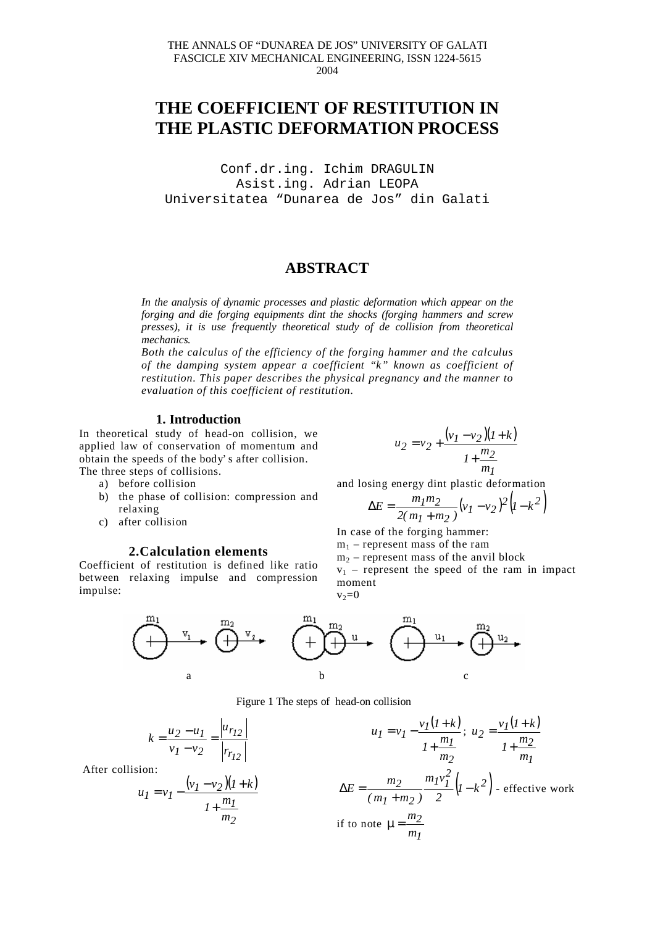# **THE COEFFICIENT OF RESTITUTION IN THE PLASTIC DEFORMATION PROCESS**

Conf.dr.ing. Ichim DRAGULIN Asist.ing. Adrian LEOPA Universitatea "Dunarea de Jos" din Galati

## **ABSTRACT**

*In the analysis of dynamic processes and plastic deformation which appear on the forging and die forging equipments dint the shocks (forging hammers and screw presses), it is use frequently theoretical study of de collision from theoretical mechanics.*

*Both the calculus of the efficiency of the forging hammer and the calculus of the damping system appear a coefficient "k" known as coefficient of restitution. This paper describes the physical pregnancy and the manner to evaluation of this coefficient of restitution.*

#### **1. Introduction**

In theoretical study of head-on collision, we applied law of conservation of momentum and obtain the speeds of the body' s after collision. The three steps of collisions.

- a) before collision
- b) the phase of collision: compression and relaxing
- c) after collision

#### **2.Calculation elements**

Coefficient of restitution is defined like ratio between relaxing impulse and compression impulse:

$$
u_2 = v_2 + \frac{(v_1 - v_2)(1 + k)}{1 + \frac{m_2}{m_1}}
$$

and losing energy dint plastic deformation

$$
\Delta E = \frac{m_1 m_2}{2(m_1 + m_2)} (v_1 - v_2)^2 (1 - k^2)
$$

In case of the forging hammer:  $m_1$  – represent mass of the ram  $m<sub>2</sub>$  – represent mass of the anvil block  $v_1$  – represent the speed of the ram in impact

moment  $v_2=0$ 



#### Figure 1 The steps of head-on collision

$$
k = \frac{u_2 - u_1}{v_1 - v_2} = \frac{|u_{r_{12}}|}{|r_{r_{12}}|}
$$

After collision:

$$
u_1 = v_1 - \frac{(v_1 - v_2)(1 + k)}{1 + \frac{m_1}{m_2}}
$$

$$
u_1 = v_1 - \frac{v_1(1+k)}{1+\frac{m_1}{m_2}}; \ u_2 = \frac{v_1(1+k)}{1+\frac{m_2}{m_1}}
$$
  

$$
\Delta E = \frac{m_2}{(m_1+m_2)} \frac{m_1v_1^2}{2} (1-k^2)
$$
 - effective work  
if to note  $\mu = \frac{m_2}{m_1}$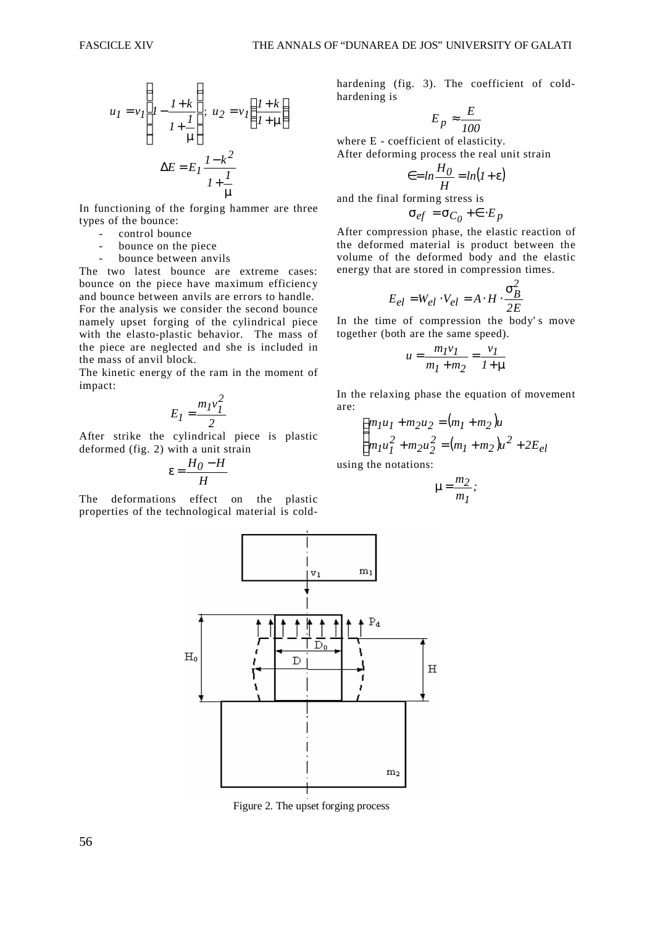$$
u_{I} = v_{I} \left( I - \frac{I + k}{I + \frac{I}{\mu}} \right); \ u_{2} = v_{I} \left( \frac{I + k}{I + \mu} \right)
$$

$$
\Delta E = E_{I} \frac{I - k^{2}}{I + \frac{I}{\mu}}
$$

In functioning of the forging hammer are three types of the bounce:

- control bounce
- bounce on the piece
- bounce between anvils

The two latest bounce are extreme cases: bounce on the piece have maximum efficiency and bounce between anvils are errors to handle. For the analysis we consider the second bounce namely upset forging of the cylindrical piece with the elasto-plastic behavior. The mass of the piece are neglected and she is included in the mass of anvil block.

The kinetic energy of the ram in the moment of impact:

$$
E_I = \frac{m_I v_I^2}{2}
$$

After strike the cylindrical piece is plastic deformed (fig. 2) with a unit strain

$$
\varepsilon = \frac{H_0 - H}{H}
$$

The deformations effect on the plastic properties of the technological material is coldhardening (fig. 3). The coefficient of coldhardening is

$$
E_p \approx \frac{E}{100}
$$

where E - coefficient of elasticity. After deforming process the real unit strain

$$
\epsilon = \ln \frac{H_0}{H} = \ln(1 + \epsilon)
$$

and the final forming stress is

$$
\sigma_{ef} = \sigma_{C_0} + \epsilon \cdot E_p
$$

After compression phase, the elastic reaction of the deformed material is product between the volume of the deformed body and the elastic energy that are stored in compression times.

$$
E_{el} = W_{el} \cdot V_{el} = A \cdot H \cdot \frac{\sigma_B^2}{2E}
$$

In the time of compression the body' s move together (both are the same speed).

$$
u = \frac{m_1 v_1}{m_1 + m_2} = \frac{v_1}{1 + \mu}
$$

In the relaxing phase the equation of movement are:

$$
\begin{cases} m_1 u_1 + m_2 u_2 = (m_1 + m_2) u \\ m_1 u_1^2 + m_2 u_2^2 = (m_1 + m_2) u^2 + 2E_{el} \end{cases}
$$

using the notations:

$$
\mu = \frac{m_2}{m_I};
$$



Figure 2. The upset forging process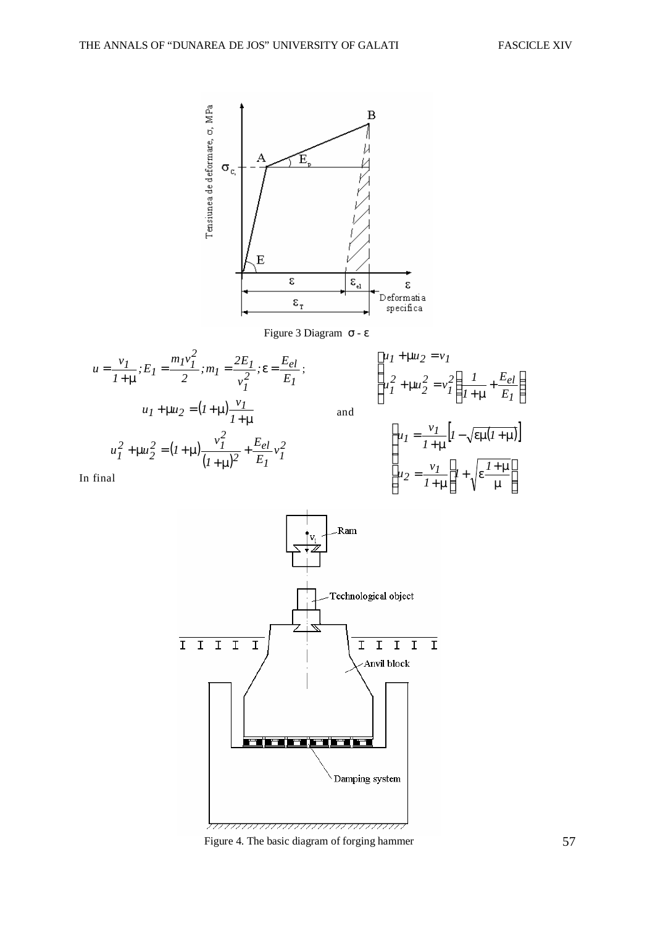$\overline{1}$  $\overline{a}$ 

 $\overline{\phantom{a}}$  $\overline{\phantom{a}}$  $\frac{1}{2}$ 

 $\overline{\phantom{a}}$ 





Figure 4. The basic diagram of forging hammer